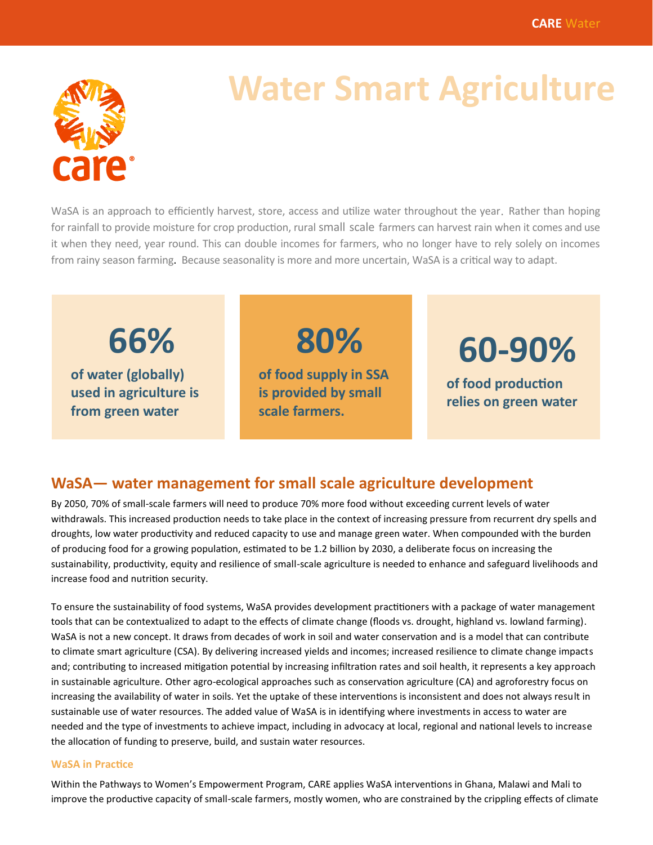

# **Water Smart Agriculture**

WaSA is an approach to efficiently harvest, store, access and utilize water throughout the year. Rather than hoping for rainfall to provide moisture for crop production, rural small scale farmers can harvest rain when it comes and use it when they need, year round. This can double incomes for farmers, who no longer have to rely solely on incomes from rainy season farming. Because seasonality is more and more uncertain, WaSA is a critical way to adapt.

**66%**

**of water (globally) used in agriculture is from green water**

**80% of food supply in SSA is provided by small scale farmers.** 

**60-90%**

**of food production relies on green water**

### **WaSA— water management for small scale agriculture development**

By 2050, 70% of small-scale farmers will need to produce 70% more food without exceeding current levels of water withdrawals. This increased production needs to take place in the context of increasing pressure from recurrent dry spells and droughts, low water productivity and reduced capacity to use and manage green water. When compounded with the burden of producing food for a growing population, estimated to be 1.2 billion by 2030, a deliberate focus on increasing the sustainability, productivity, equity and resilience of small-scale agriculture is needed to enhance and safeguard livelihoods and increase food and nutrition security.

To ensure the sustainability of food systems, WaSA provides development practitioners with a package of water management tools that can be contextualized to adapt to the effects of climate change (floods vs. drought, highland vs. lowland farming). WaSA is not a new concept. It draws from decades of work in soil and water conservation and is a model that can contribute to climate smart agriculture (CSA). By delivering increased yields and incomes; increased resilience to climate change impacts and; contributing to increased mitigation potential by increasing infiltration rates and soil health, it represents a key approach in sustainable agriculture. Other agro-ecological approaches such as conservation agriculture (CA) and agroforestry focus on increasing the availability of water in soils. Yet the uptake of these interventions is inconsistent and does not always result in sustainable use of water resources. The added value of WaSA is in identifying where investments in access to water are needed and the type of investments to achieve impact, including in advocacy at local, regional and national levels to increase the allocation of funding to preserve, build, and sustain water resources.

#### **WaSA in Practice**

Within the Pathways to Women's Empowerment Program, CARE applies WaSA interventions in Ghana, Malawi and Mali to improve the productive capacity of small-scale farmers, mostly women, who are constrained by the crippling effects of climate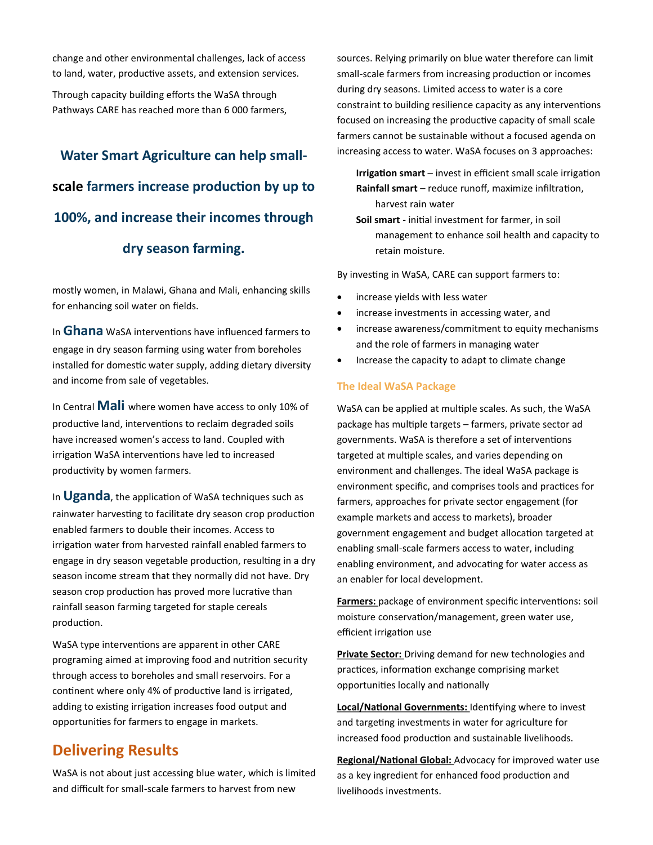change and other environmental challenges, lack of access to land, water, productive assets, and extension services.

Through capacity building efforts the WaSA through Pathways CARE has reached more than 6 000 farmers,

# **Water Smart Agriculture can help smallscale farmers increase production by up to 100%, and increase their incomes through dry season farming.**

mostly women, in Malawi, Ghana and Mali, enhancing skills for enhancing soil water on fields.

In **Ghana** WaSA interventions have influenced farmers to engage in dry season farming using water from boreholes installed for domestic water supply, adding dietary diversity and income from sale of vegetables.

In Central **Mali** where women have access to only 10% of productive land, interventions to reclaim degraded soils have increased women's access to land. Coupled with irrigation WaSA interventions have led to increased productivity by women farmers.

In **Uganda**, the application of WaSA techniques such as rainwater harvesting to facilitate dry season crop production enabled farmers to double their incomes. Access to irrigation water from harvested rainfall enabled farmers to engage in dry season vegetable production, resulting in a dry season income stream that they normally did not have. Dry season crop production has proved more lucrative than rainfall season farming targeted for staple cereals production.

WaSA type interventions are apparent in other CARE programing aimed at improving food and nutrition security through access to boreholes and small reservoirs. For a continent where only 4% of productive land is irrigated, adding to existing irrigation increases food output and opportunities for farmers to engage in markets.

### **Delivering Results**

WaSA is not about just accessing blue water, which is limited and difficult for small-scale farmers to harvest from new

sources. Relying primarily on blue water therefore can limit small-scale farmers from increasing production or incomes during dry seasons. Limited access to water is a core constraint to building resilience capacity as any interventions focused on increasing the productive capacity of small scale farmers cannot be sustainable without a focused agenda on increasing access to water. WaSA focuses on 3 approaches:

**Irrigation smart** – invest in efficient small scale irrigation **Rainfall smart** – reduce runoff, maximize infiltration, harvest rain water

**Soil smart** - initial investment for farmer, in soil management to enhance soil health and capacity to retain moisture.

By investing in WaSA, CARE can support farmers to:

- increase yields with less water
- increase investments in accessing water, and
- increase awareness/commitment to equity mechanisms and the role of farmers in managing water
- Increase the capacity to adapt to climate change

### **The Ideal WaSA Package**

WaSA can be applied at multiple scales. As such, the WaSA package has multiple targets – farmers, private sector ad governments. WaSA is therefore a set of interventions targeted at multiple scales, and varies depending on environment and challenges. The ideal WaSA package is environment specific, and comprises tools and practices for farmers, approaches for private sector engagement (for example markets and access to markets), broader government engagement and budget allocation targeted at enabling small-scale farmers access to water, including enabling environment, and advocating for water access as an enabler for local development.

**Farmers:** package of environment specific interventions: soil moisture conservation/management, green water use, efficient irrigation use

**Private Sector:** Driving demand for new technologies and practices, information exchange comprising market opportunities locally and nationally

**Local/National Governments:** Identifying where to invest and targeting investments in water for agriculture for increased food production and sustainable livelihoods.

**Regional/National Global:** Advocacy for improved water use as a key ingredient for enhanced food production and livelihoods investments.